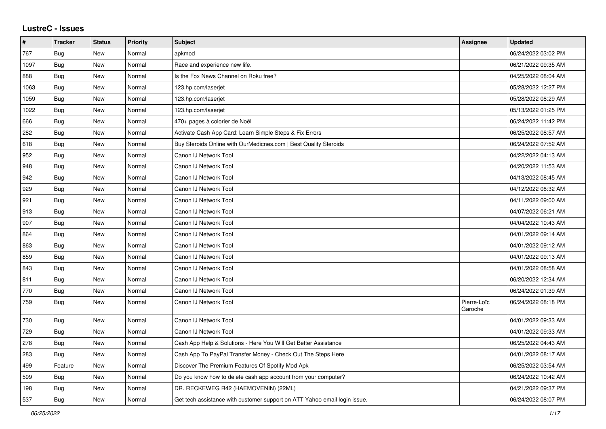## **LustreC - Issues**

| $\sharp$ | <b>Tracker</b> | <b>Status</b> | <b>Priority</b> | <b>Subject</b>                                                            | Assignee               | <b>Updated</b>      |
|----------|----------------|---------------|-----------------|---------------------------------------------------------------------------|------------------------|---------------------|
| 767      | Bug            | New           | Normal          | apkmod                                                                    |                        | 06/24/2022 03:02 PM |
| 1097     | <b>Bug</b>     | <b>New</b>    | Normal          | Race and experience new life.                                             |                        | 06/21/2022 09:35 AM |
| 888      | Bug            | New           | Normal          | Is the Fox News Channel on Roku free?                                     |                        | 04/25/2022 08:04 AM |
| 1063     | <b>Bug</b>     | <b>New</b>    | Normal          | 123.hp.com/laserjet                                                       |                        | 05/28/2022 12:27 PM |
| 1059     | <b>Bug</b>     | <b>New</b>    | Normal          | 123.hp.com/laserjet                                                       |                        | 05/28/2022 08:29 AM |
| 1022     | <b>Bug</b>     | New           | Normal          | 123.hp.com/laserjet                                                       |                        | 05/13/2022 01:25 PM |
| 666      | Bug            | New           | Normal          | 470+ pages à colorier de Noël                                             |                        | 06/24/2022 11:42 PM |
| 282      | Bug            | <b>New</b>    | Normal          | Activate Cash App Card: Learn Simple Steps & Fix Errors                   |                        | 06/25/2022 08:57 AM |
| 618      | Bug            | <b>New</b>    | Normal          | Buy Steroids Online with OurMedicnes.com   Best Quality Steroids          |                        | 06/24/2022 07:52 AM |
| 952      | Bug            | New           | Normal          | Canon IJ Network Tool                                                     |                        | 04/22/2022 04:13 AM |
| 948      | Bug            | <b>New</b>    | Normal          | Canon IJ Network Tool                                                     |                        | 04/20/2022 11:53 AM |
| 942      | <b>Bug</b>     | <b>New</b>    | Normal          | Canon IJ Network Tool                                                     |                        | 04/13/2022 08:45 AM |
| 929      | Bug            | New           | Normal          | Canon IJ Network Tool                                                     |                        | 04/12/2022 08:32 AM |
| 921      | <b>Bug</b>     | <b>New</b>    | Normal          | Canon IJ Network Tool                                                     |                        | 04/11/2022 09:00 AM |
| 913      | Bug            | <b>New</b>    | Normal          | Canon IJ Network Tool                                                     |                        | 04/07/2022 06:21 AM |
| 907      | Bug            | <b>New</b>    | Normal          | Canon IJ Network Tool                                                     |                        | 04/04/2022 10:43 AM |
| 864      | <b>Bug</b>     | New           | Normal          | Canon IJ Network Tool                                                     |                        | 04/01/2022 09:14 AM |
| 863      | Bug            | <b>New</b>    | Normal          | Canon IJ Network Tool                                                     |                        | 04/01/2022 09:12 AM |
| 859      | Bug            | New           | Normal          | Canon IJ Network Tool                                                     |                        | 04/01/2022 09:13 AM |
| 843      | Bug            | <b>New</b>    | Normal          | Canon IJ Network Tool                                                     |                        | 04/01/2022 08:58 AM |
| 811      | Bug            | <b>New</b>    | Normal          | Canon IJ Network Tool                                                     |                        | 06/20/2022 12:34 AM |
| 770      | <b>Bug</b>     | <b>New</b>    | Normal          | Canon IJ Network Tool                                                     |                        | 06/24/2022 01:39 AM |
| 759      | <b>Bug</b>     | <b>New</b>    | Normal          | Canon IJ Network Tool                                                     | Pierre-Loïc<br>Garoche | 06/24/2022 08:18 PM |
| 730      | Bug            | <b>New</b>    | Normal          | Canon IJ Network Tool                                                     |                        | 04/01/2022 09:33 AM |
| 729      | Bug            | New           | Normal          | Canon IJ Network Tool                                                     |                        | 04/01/2022 09:33 AM |
| 278      | Bug            | New           | Normal          | Cash App Help & Solutions - Here You Will Get Better Assistance           |                        | 06/25/2022 04:43 AM |
| 283      | Bug            | <b>New</b>    | Normal          | Cash App To PayPal Transfer Money - Check Out The Steps Here              |                        | 04/01/2022 08:17 AM |
| 499      | Feature        | <b>New</b>    | Normal          | Discover The Premium Features Of Spotify Mod Apk                          |                        | 06/25/2022 03:54 AM |
| 599      | <b>Bug</b>     | New           | Normal          | Do you know how to delete cash app account from your computer?            |                        | 06/24/2022 10:42 AM |
| 198      | Bug            | <b>New</b>    | Normal          | DR. RECKEWEG R42 (HAEMOVENIN) (22ML)                                      |                        | 04/21/2022 09:37 PM |
| 537      | <b>Bug</b>     | New           | Normal          | Get tech assistance with customer support on ATT Yahoo email login issue. |                        | 06/24/2022 08:07 PM |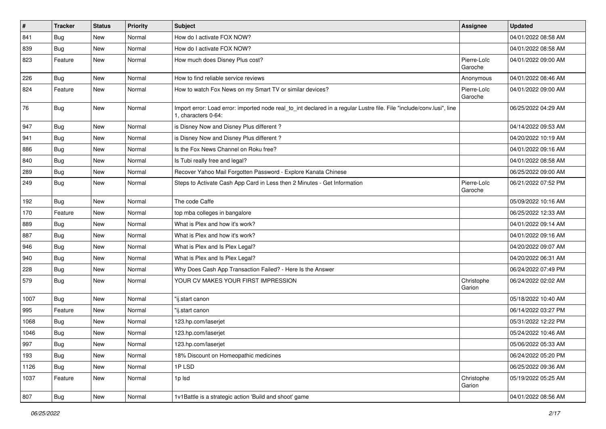| $\vert$ # | <b>Tracker</b> | <b>Status</b> | <b>Priority</b> | <b>Subject</b>                                                                                                                               | <b>Assignee</b>        | <b>Updated</b>      |
|-----------|----------------|---------------|-----------------|----------------------------------------------------------------------------------------------------------------------------------------------|------------------------|---------------------|
| 841       | Bug            | New           | Normal          | How do I activate FOX NOW?                                                                                                                   |                        | 04/01/2022 08:58 AM |
| 839       | Bug            | New           | Normal          | How do I activate FOX NOW?                                                                                                                   |                        | 04/01/2022 08:58 AM |
| 823       | Feature        | New           | Normal          | How much does Disney Plus cost?                                                                                                              | Pierre-Loïc<br>Garoche | 04/01/2022 09:00 AM |
| 226       | Bug            | New           | Normal          | How to find reliable service reviews                                                                                                         | Anonymous              | 04/01/2022 08:46 AM |
| 824       | Feature        | New           | Normal          | How to watch Fox News on my Smart TV or similar devices?                                                                                     | Pierre-Loïc<br>Garoche | 04/01/2022 09:00 AM |
| 76        | Bug            | New           | Normal          | Import error: Load error: imported node real_to_int declared in a regular Lustre file. File "include/conv.lusi", line<br>1, characters 0-64: |                        | 06/25/2022 04:29 AM |
| 947       | Bug            | New           | Normal          | is Disney Now and Disney Plus different?                                                                                                     |                        | 04/14/2022 09:53 AM |
| 941       | Bug            | New           | Normal          | is Disney Now and Disney Plus different?                                                                                                     |                        | 04/20/2022 10:19 AM |
| 886       | <b>Bug</b>     | New           | Normal          | Is the Fox News Channel on Roku free?                                                                                                        |                        | 04/01/2022 09:16 AM |
| 840       | Bug            | New           | Normal          | Is Tubi really free and legal?                                                                                                               |                        | 04/01/2022 08:58 AM |
| 289       | <b>Bug</b>     | New           | Normal          | Recover Yahoo Mail Forgotten Password - Explore Kanata Chinese                                                                               |                        | 06/25/2022 09:00 AM |
| 249       | <b>Bug</b>     | New           | Normal          | Steps to Activate Cash App Card in Less then 2 Minutes - Get Information                                                                     | Pierre-Loïc<br>Garoche | 06/21/2022 07:52 PM |
| 192       | Bug            | New           | Normal          | The code Caffe                                                                                                                               |                        | 05/09/2022 10:16 AM |
| 170       | Feature        | New           | Normal          | top mba colleges in bangalore                                                                                                                |                        | 06/25/2022 12:33 AM |
| 889       | Bug            | New           | Normal          | What is Plex and how it's work?                                                                                                              |                        | 04/01/2022 09:14 AM |
| 887       | Bug            | New           | Normal          | What is Plex and how it's work?                                                                                                              |                        | 04/01/2022 09:16 AM |
| 946       | Bug            | New           | Normal          | What is Plex and Is Plex Legal?                                                                                                              |                        | 04/20/2022 09:07 AM |
| 940       | <b>Bug</b>     | New           | Normal          | What is Plex and Is Plex Legal?                                                                                                              |                        | 04/20/2022 06:31 AM |
| 228       | Bug            | New           | Normal          | Why Does Cash App Transaction Failed? - Here Is the Answer                                                                                   |                        | 06/24/2022 07:49 PM |
| 579       | Bug            | New           | Normal          | YOUR CV MAKES YOUR FIRST IMPRESSION                                                                                                          | Christophe<br>Garion   | 06/24/2022 02:02 AM |
| 1007      | Bug            | New           | Normal          | "ij.start canon                                                                                                                              |                        | 05/18/2022 10:40 AM |
| 995       | Feature        | New           | Normal          | 'ij.start canon                                                                                                                              |                        | 06/14/2022 03:27 PM |
| 1068      | Bug            | New           | Normal          | 123.hp.com/laserjet                                                                                                                          |                        | 05/31/2022 12:22 PM |
| 1046      | Bug            | New           | Normal          | 123.hp.com/laserjet                                                                                                                          |                        | 05/24/2022 10:46 AM |
| 997       | Bug            | New           | Normal          | 123.hp.com/laserjet                                                                                                                          |                        | 05/06/2022 05:33 AM |
| 193       | Bug            | New           | Normal          | 18% Discount on Homeopathic medicines                                                                                                        |                        | 06/24/2022 05:20 PM |
| 1126      | Bug            | New           | Normal          | 1PLSD                                                                                                                                        |                        | 06/25/2022 09:36 AM |
| 1037      | Feature        | New           | Normal          | 1p lsd                                                                                                                                       | Christophe<br>Garion   | 05/19/2022 05:25 AM |
| 807       | Bug            | New           | Normal          | 1v1Battle is a strategic action 'Build and shoot' game                                                                                       |                        | 04/01/2022 08:56 AM |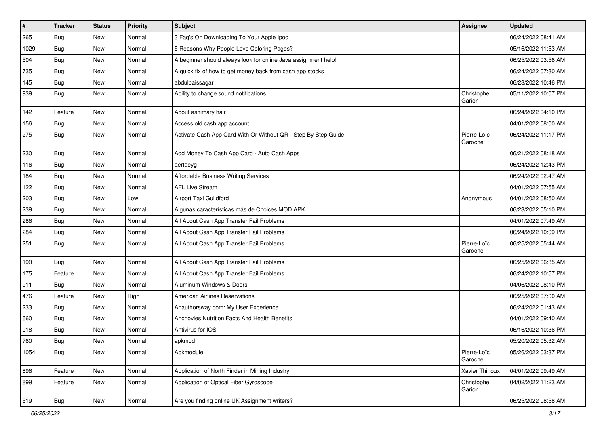| $\sharp$ | <b>Tracker</b> | <b>Status</b> | <b>Priority</b> | <b>Subject</b>                                                 | <b>Assignee</b>        | <b>Updated</b>      |
|----------|----------------|---------------|-----------------|----------------------------------------------------------------|------------------------|---------------------|
| 265      | <b>Bug</b>     | New           | Normal          | 3 Faq's On Downloading To Your Apple Ipod                      |                        | 06/24/2022 08:41 AM |
| 1029     | <b>Bug</b>     | New           | Normal          | 5 Reasons Why People Love Coloring Pages?                      |                        | 05/16/2022 11:53 AM |
| 504      | Bug            | New           | Normal          | A beginner should always look for online Java assignment help! |                        | 06/25/2022 03:56 AM |
| 735      | Bug            | New           | Normal          | A quick fix of how to get money back from cash app stocks      |                        | 06/24/2022 07:30 AM |
| 145      | Bug            | New           | Normal          | abdulbaissagar                                                 |                        | 06/23/2022 10:46 PM |
| 939      | <b>Bug</b>     | New           | Normal          | Ability to change sound notifications                          | Christophe<br>Garion   | 05/11/2022 10:07 PM |
| 142      | Feature        | New           | Normal          | About ashimary hair                                            |                        | 06/24/2022 04:10 PM |
| 156      | <b>Bug</b>     | New           | Normal          | Access old cash app account                                    |                        | 04/01/2022 08:00 AM |
| 275      | <b>Bug</b>     | New           | Normal          | Activate Cash App Card With Or Without QR - Step By Step Guide | Pierre-Loïc<br>Garoche | 06/24/2022 11:17 PM |
| 230      | Bug            | New           | Normal          | Add Money To Cash App Card - Auto Cash Apps                    |                        | 06/21/2022 08:18 AM |
| 116      | Bug            | New           | Normal          | aertaeyg                                                       |                        | 06/24/2022 12:43 PM |
| 184      | <b>Bug</b>     | New           | Normal          | <b>Affordable Business Writing Services</b>                    |                        | 06/24/2022 02:47 AM |
| 122      | Bug            | New           | Normal          | <b>AFL Live Stream</b>                                         |                        | 04/01/2022 07:55 AM |
| 203      | Bug            | New           | Low             | Airport Taxi Guildford                                         | Anonymous              | 04/01/2022 08:50 AM |
| 239      | <b>Bug</b>     | New           | Normal          | Algunas características más de Choices MOD APK                 |                        | 06/23/2022 05:10 PM |
| 286      | Bug            | New           | Normal          | All About Cash App Transfer Fail Problems                      |                        | 04/01/2022 07:49 AM |
| 284      | Bug            | New           | Normal          | All About Cash App Transfer Fail Problems                      |                        | 06/24/2022 10:09 PM |
| 251      | Bug            | New           | Normal          | All About Cash App Transfer Fail Problems                      | Pierre-Loïc<br>Garoche | 06/25/2022 05:44 AM |
| 190      | <b>Bug</b>     | New           | Normal          | All About Cash App Transfer Fail Problems                      |                        | 06/25/2022 06:35 AM |
| 175      | Feature        | New           | Normal          | All About Cash App Transfer Fail Problems                      |                        | 06/24/2022 10:57 PM |
| 911      | Bug            | New           | Normal          | Aluminum Windows & Doors                                       |                        | 04/06/2022 08:10 PM |
| 476      | Feature        | New           | High            | <b>American Airlines Reservations</b>                          |                        | 06/25/2022 07:00 AM |
| 233      | Bug            | New           | Normal          | Anauthorsway.com: My User Experience                           |                        | 06/24/2022 01:43 AM |
| 660      | <b>Bug</b>     | New           | Normal          | Anchovies Nutrition Facts And Health Benefits                  |                        | 04/01/2022 09:40 AM |
| 918      | <b>Bug</b>     | New           | Normal          | Antivirus for IOS                                              |                        | 06/16/2022 10:36 PM |
| 760      | Bug            | New           | Normal          | apkmod                                                         |                        | 05/20/2022 05:32 AM |
| 1054     | <b>Bug</b>     | New           | Normal          | Apkmodule                                                      | Pierre-Loïc<br>Garoche | 05/26/2022 03:37 PM |
| 896      | Feature        | New           | Normal          | Application of North Finder in Mining Industry                 | Xavier Thirioux        | 04/01/2022 09:49 AM |
| 899      | Feature        | New           | Normal          | Application of Optical Fiber Gyroscope                         | Christophe<br>Garion   | 04/02/2022 11:23 AM |
| 519      | <b>Bug</b>     | New           | Normal          | Are you finding online UK Assignment writers?                  |                        | 06/25/2022 08:58 AM |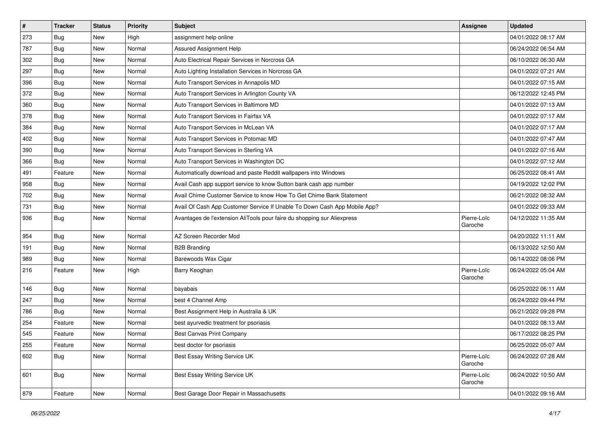| $\sharp$ | <b>Tracker</b> | <b>Status</b> | <b>Priority</b> | Subject                                                                   | <b>Assignee</b>        | <b>Updated</b>      |
|----------|----------------|---------------|-----------------|---------------------------------------------------------------------------|------------------------|---------------------|
| 273      | Bug            | New           | High            | assignment help online                                                    |                        | 04/01/2022 08:17 AM |
| 787      | Bug            | <b>New</b>    | Normal          | <b>Assured Assignment Help</b>                                            |                        | 06/24/2022 06:54 AM |
| 302      | Bug            | New           | Normal          | Auto Electrical Repair Services in Norcross GA                            |                        | 06/10/2022 06:30 AM |
| 297      | Bug            | New           | Normal          | Auto Lighting Installation Services in Norcross GA                        |                        | 04/01/2022 07:21 AM |
| 396      | Bug            | New           | Normal          | Auto Transport Services in Annapolis MD                                   |                        | 04/01/2022 07:15 AM |
| 372      | Bug            | New           | Normal          | Auto Transport Services in Arlington County VA                            |                        | 06/12/2022 12:45 PM |
| 360      | Bug            | New           | Normal          | Auto Transport Services in Baltimore MD                                   |                        | 04/01/2022 07:13 AM |
| 378      | <b>Bug</b>     | New           | Normal          | Auto Transport Services in Fairfax VA                                     |                        | 04/01/2022 07:17 AM |
| 384      | <b>Bug</b>     | New           | Normal          | Auto Transport Services in McLean VA                                      |                        | 04/01/2022 07:17 AM |
| 402      | Bug            | New           | Normal          | Auto Transport Services in Potomac MD                                     |                        | 04/01/2022 07:47 AM |
| 390      | <b>Bug</b>     | New           | Normal          | Auto Transport Services in Sterling VA                                    |                        | 04/01/2022 07:16 AM |
| 366      | Bug            | New           | Normal          | Auto Transport Services in Washington DC                                  |                        | 04/01/2022 07:12 AM |
| 491      | Feature        | New           | Normal          | Automatically download and paste Reddit wallpapers into Windows           |                        | 06/25/2022 08:41 AM |
| 958      | <b>Bug</b>     | New           | Normal          | Avail Cash app support service to know Sutton bank cash app number        |                        | 04/19/2022 12:02 PM |
| 702      | Bug            | New           | Normal          | Avail Chime Customer Service to know How To Get Chime Bank Statement      |                        | 06/21/2022 08:32 AM |
| 731      | Bug            | New           | Normal          | Avail Of Cash App Customer Service If Unable To Down Cash App Mobile App? |                        | 04/01/2022 09:33 AM |
| 936      | <b>Bug</b>     | New           | Normal          | Avantages de l'extension AliTools pour faire du shopping sur Aliexpress   | Pierre-Loïc<br>Garoche | 04/12/2022 11:35 AM |
| 954      | Bug            | New           | Normal          | AZ Screen Recorder Mod                                                    |                        | 04/20/2022 11:11 AM |
| 191      | Bug            | New           | Normal          | <b>B2B Branding</b>                                                       |                        | 06/13/2022 12:50 AM |
| 989      | Bug            | New           | Normal          | Barewoods Wax Cigar                                                       |                        | 06/14/2022 08:06 PM |
| 216      | Feature        | New           | High            | Barry Keoghan                                                             | Pierre-Loïc<br>Garoche | 06/24/2022 05:04 AM |
| 146      | <b>Bug</b>     | New           | Normal          | bayabais                                                                  |                        | 06/25/2022 06:11 AM |
| 247      | Bug            | New           | Normal          | best 4 Channel Amp                                                        |                        | 06/24/2022 09:44 PM |
| 786      | Bug            | New           | Normal          | Best Assignment Help in Australia & UK                                    |                        | 06/21/2022 09:28 PM |
| 254      | Feature        | New           | Normal          | best ayurvedic treatment for psoriasis                                    |                        | 04/01/2022 08:13 AM |
| 545      | Feature        | <b>New</b>    | Normal          | <b>Best Canvas Print Company</b>                                          |                        | 06/17/2022 08:25 PM |
| 255      | Feature        | New           | Normal          | best doctor for psoriasis                                                 |                        | 06/25/2022 05:07 AM |
| 602      | <b>Bug</b>     | New           | Normal          | Best Essay Writing Service UK                                             | Pierre-Loïc<br>Garoche | 06/24/2022 07:28 AM |
| 601      | <b>Bug</b>     | New           | Normal          | Best Essay Writing Service UK                                             | Pierre-Loïc<br>Garoche | 06/24/2022 10:50 AM |
| 879      | Feature        | New           | Normal          | Best Garage Door Repair in Massachusetts                                  |                        | 04/01/2022 09:16 AM |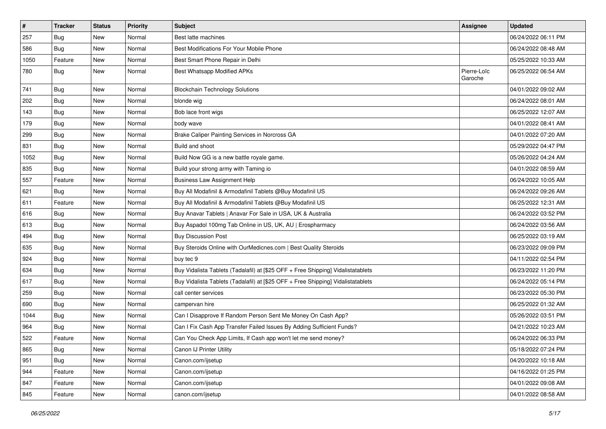| #    | <b>Tracker</b> | <b>Status</b> | <b>Priority</b> | <b>Subject</b>                                                                   | <b>Assignee</b>        | <b>Updated</b>      |
|------|----------------|---------------|-----------------|----------------------------------------------------------------------------------|------------------------|---------------------|
| 257  | Bug            | New           | Normal          | Best latte machines                                                              |                        | 06/24/2022 06:11 PM |
| 586  | <b>Bug</b>     | <b>New</b>    | Normal          | Best Modifications For Your Mobile Phone                                         |                        | 06/24/2022 08:48 AM |
| 1050 | Feature        | New           | Normal          | Best Smart Phone Repair in Delhi                                                 |                        | 05/25/2022 10:33 AM |
| 780  | Bug            | New           | Normal          | Best Whatsapp Modified APKs                                                      | Pierre-Loïc<br>Garoche | 06/25/2022 06:54 AM |
| 741  | <b>Bug</b>     | New           | Normal          | <b>Blockchain Technology Solutions</b>                                           |                        | 04/01/2022 09:02 AM |
| 202  | Bug            | New           | Normal          | blonde wig                                                                       |                        | 06/24/2022 08:01 AM |
| 143  | Bug            | New           | Normal          | Bob lace front wigs                                                              |                        | 06/25/2022 12:07 AM |
| 179  | Bug            | New           | Normal          | body wave                                                                        |                        | 04/01/2022 08:41 AM |
| 299  | Bug            | New           | Normal          | Brake Caliper Painting Services in Norcross GA                                   |                        | 04/01/2022 07:20 AM |
| 831  | Bug            | New           | Normal          | Build and shoot                                                                  |                        | 05/29/2022 04:47 PM |
| 1052 | Bug            | New           | Normal          | Build Now GG is a new battle royale game.                                        |                        | 05/26/2022 04:24 AM |
| 835  | <b>Bug</b>     | New           | Normal          | Build your strong army with Taming io                                            |                        | 04/01/2022 08:59 AM |
| 557  | Feature        | New           | Normal          | <b>Business Law Assignment Help</b>                                              |                        | 06/24/2022 10:05 AM |
| 621  | <b>Bug</b>     | New           | Normal          | Buy All Modafinil & Armodafinil Tablets @Buy Modafinil US                        |                        | 06/24/2022 09:26 AM |
| 611  | Feature        | New           | Normal          | Buy All Modafinil & Armodafinil Tablets @Buy Modafinil US                        |                        | 06/25/2022 12:31 AM |
| 616  | Bug            | New           | Normal          | Buy Anavar Tablets   Anavar For Sale in USA, UK & Australia                      |                        | 06/24/2022 03:52 PM |
| 613  | Bug            | New           | Normal          | Buy Aspadol 100mg Tab Online in US, UK, AU   Erospharmacy                        |                        | 06/24/2022 03:56 AM |
| 494  | Bug            | New           | Normal          | <b>Buy Discussion Post</b>                                                       |                        | 06/25/2022 03:19 AM |
| 635  | Bug            | New           | Normal          | Buy Steroids Online with OurMedicnes.com   Best Quality Steroids                 |                        | 06/23/2022 09:09 PM |
| 924  | Bug            | New           | Normal          | buy tec 9                                                                        |                        | 04/11/2022 02:54 PM |
| 634  | <b>Bug</b>     | New           | Normal          | Buy Vidalista Tablets (Tadalafil) at [\$25 OFF + Free Shipping] Vidalistatablets |                        | 06/23/2022 11:20 PM |
| 617  | Bug            | New           | Normal          | Buy Vidalista Tablets (Tadalafil) at [\$25 OFF + Free Shipping] Vidalistatablets |                        | 06/24/2022 05:14 PM |
| 259  | <b>Bug</b>     | New           | Normal          | call center services                                                             |                        | 06/23/2022 05:30 PM |
| 690  | Bug            | New           | Normal          | campervan hire                                                                   |                        | 06/25/2022 01:32 AM |
| 1044 | <b>Bug</b>     | New           | Normal          | Can I Disapprove If Random Person Sent Me Money On Cash App?                     |                        | 05/26/2022 03:51 PM |
| 964  | Bug            | New           | Normal          | Can I Fix Cash App Transfer Failed Issues By Adding Sufficient Funds?            |                        | 04/21/2022 10:23 AM |
| 522  | Feature        | New           | Normal          | Can You Check App Limits, If Cash app won't let me send money?                   |                        | 06/24/2022 06:33 PM |
| 865  | Bug            | New           | Normal          | Canon IJ Printer Utility                                                         |                        | 05/18/2022 07:24 PM |
| 951  | Bug            | New           | Normal          | Canon.com/ijsetup                                                                |                        | 04/20/2022 10:18 AM |
| 944  | Feature        | New           | Normal          | Canon.com/ijsetup                                                                |                        | 04/16/2022 01:25 PM |
| 847  | Feature        | New           | Normal          | Canon.com/ijsetup                                                                |                        | 04/01/2022 09:08 AM |
| 845  | Feature        | New           | Normal          | canon.com/ijsetup                                                                |                        | 04/01/2022 08:58 AM |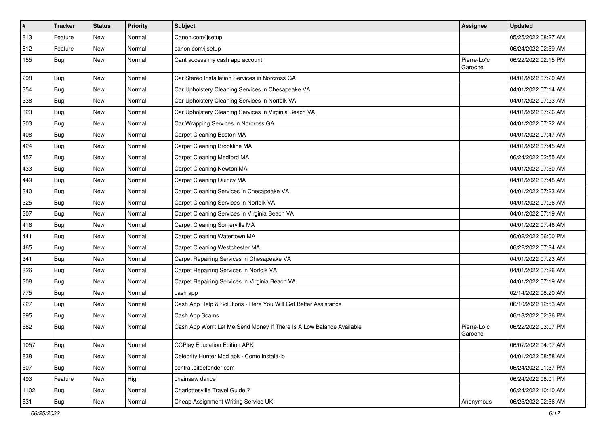| $\vert$ # | <b>Tracker</b> | <b>Status</b> | <b>Priority</b> | <b>Subject</b>                                                       | <b>Assignee</b>        | <b>Updated</b>      |
|-----------|----------------|---------------|-----------------|----------------------------------------------------------------------|------------------------|---------------------|
| 813       | Feature        | New           | Normal          | Canon.com/ijsetup                                                    |                        | 05/25/2022 08:27 AM |
| 812       | Feature        | <b>New</b>    | Normal          | canon.com/ijsetup                                                    |                        | 06/24/2022 02:59 AM |
| 155       | Bug            | New           | Normal          | Cant access my cash app account                                      | Pierre-Loïc<br>Garoche | 06/22/2022 02:15 PM |
| 298       | Bug            | <b>New</b>    | Normal          | Car Stereo Installation Services in Norcross GA                      |                        | 04/01/2022 07:20 AM |
| 354       | Bug            | New           | Normal          | Car Upholstery Cleaning Services in Chesapeake VA                    |                        | 04/01/2022 07:14 AM |
| 338       | <b>Bug</b>     | New           | Normal          | Car Upholstery Cleaning Services in Norfolk VA                       |                        | 04/01/2022 07:23 AM |
| 323       | Bug            | New           | Normal          | Car Upholstery Cleaning Services in Virginia Beach VA                |                        | 04/01/2022 07:26 AM |
| 303       | <b>Bug</b>     | New           | Normal          | Car Wrapping Services in Norcross GA                                 |                        | 04/01/2022 07:22 AM |
| 408       | Bug            | <b>New</b>    | Normal          | Carpet Cleaning Boston MA                                            |                        | 04/01/2022 07:47 AM |
| 424       | Bug            | New           | Normal          | Carpet Cleaning Brookline MA                                         |                        | 04/01/2022 07:45 AM |
| 457       | <b>Bug</b>     | New           | Normal          | Carpet Cleaning Medford MA                                           |                        | 06/24/2022 02:55 AM |
| 433       | Bug            | <b>New</b>    | Normal          | Carpet Cleaning Newton MA                                            |                        | 04/01/2022 07:50 AM |
| 449       | <b>Bug</b>     | New           | Normal          | Carpet Cleaning Quincy MA                                            |                        | 04/01/2022 07:48 AM |
| 340       | <b>Bug</b>     | New           | Normal          | Carpet Cleaning Services in Chesapeake VA                            |                        | 04/01/2022 07:23 AM |
| 325       | <b>Bug</b>     | New           | Normal          | Carpet Cleaning Services in Norfolk VA                               |                        | 04/01/2022 07:26 AM |
| 307       | <b>Bug</b>     | New           | Normal          | Carpet Cleaning Services in Virginia Beach VA                        |                        | 04/01/2022 07:19 AM |
| 416       | Bug            | <b>New</b>    | Normal          | Carpet Cleaning Somerville MA                                        |                        | 04/01/2022 07:46 AM |
| 441       | <b>Bug</b>     | New           | Normal          | Carpet Cleaning Watertown MA                                         |                        | 06/02/2022 06:00 PM |
| 465       | Bug            | New           | Normal          | Carpet Cleaning Westchester MA                                       |                        | 06/22/2022 07:24 AM |
| 341       | Bug            | <b>New</b>    | Normal          | Carpet Repairing Services in Chesapeake VA                           |                        | 04/01/2022 07:23 AM |
| 326       | Bug            | <b>New</b>    | Normal          | Carpet Repairing Services in Norfolk VA                              |                        | 04/01/2022 07:26 AM |
| 308       | Bug            | <b>New</b>    | Normal          | Carpet Repairing Services in Virginia Beach VA                       |                        | 04/01/2022 07:19 AM |
| 775       | <b>Bug</b>     | New           | Normal          | cash app                                                             |                        | 02/14/2022 08:20 AM |
| 227       | <b>Bug</b>     | New           | Normal          | Cash App Help & Solutions - Here You Will Get Better Assistance      |                        | 06/10/2022 12:53 AM |
| 895       | Bug            | <b>New</b>    | Normal          | Cash App Scams                                                       |                        | 06/18/2022 02:36 PM |
| 582       | <b>Bug</b>     | New           | Normal          | Cash App Won't Let Me Send Money If There Is A Low Balance Available | Pierre-Loïc<br>Garoche | 06/22/2022 03:07 PM |
| 1057      | Bug            | New           | Normal          | <b>CCPlay Education Edition APK</b>                                  |                        | 06/07/2022 04:07 AM |
| 838       | Bug            | New           | Normal          | Celebrity Hunter Mod apk - Como instalá-lo                           |                        | 04/01/2022 08:58 AM |
| 507       | Bug            | New           | Normal          | central.bitdefender.com                                              |                        | 06/24/2022 01:37 PM |
| 493       | Feature        | New           | High            | chainsaw dance                                                       |                        | 06/24/2022 08:01 PM |
| 1102      | Bug            | New           | Normal          | Charlottesville Travel Guide?                                        |                        | 06/24/2022 10:10 AM |
| 531       | <b>Bug</b>     | New           | Normal          | Cheap Assignment Writing Service UK                                  | Anonymous              | 06/25/2022 02:56 AM |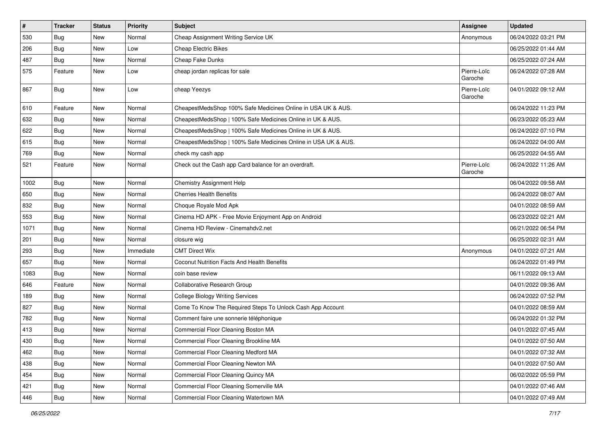| $\vert$ # | <b>Tracker</b> | <b>Status</b> | Priority  | <b>Subject</b>                                                 | Assignee               | <b>Updated</b>      |
|-----------|----------------|---------------|-----------|----------------------------------------------------------------|------------------------|---------------------|
| 530       | Bug            | New           | Normal    | Cheap Assignment Writing Service UK                            | Anonymous              | 06/24/2022 03:21 PM |
| 206       | Bug            | New           | Low       | <b>Cheap Electric Bikes</b>                                    |                        | 06/25/2022 01:44 AM |
| 487       | Bug            | New           | Normal    | Cheap Fake Dunks                                               |                        | 06/25/2022 07:24 AM |
| 575       | Feature        | New           | Low       | cheap jordan replicas for sale                                 | Pierre-Loïc<br>Garoche | 06/24/2022 07:28 AM |
| 867       | Bug            | New           | Low       | cheap Yeezys                                                   | Pierre-Loïc<br>Garoche | 04/01/2022 09:12 AM |
| 610       | Feature        | New           | Normal    | CheapestMedsShop 100% Safe Medicines Online in USA UK & AUS.   |                        | 06/24/2022 11:23 PM |
| 632       | Bug            | New           | Normal    | CheapestMedsShop   100% Safe Medicines Online in UK & AUS.     |                        | 06/23/2022 05:23 AM |
| 622       | <b>Bug</b>     | New           | Normal    | CheapestMedsShop   100% Safe Medicines Online in UK & AUS.     |                        | 06/24/2022 07:10 PM |
| 615       | <b>Bug</b>     | New           | Normal    | CheapestMedsShop   100% Safe Medicines Online in USA UK & AUS. |                        | 06/24/2022 04:00 AM |
| 769       | <b>Bug</b>     | New           | Normal    | check my cash app                                              |                        | 06/25/2022 04:55 AM |
| 521       | Feature        | New           | Normal    | Check out the Cash app Card balance for an overdraft.          | Pierre-Loïc<br>Garoche | 06/24/2022 11:26 AM |
| 1002      | Bug            | New           | Normal    | Chemistry Assignment Help                                      |                        | 06/04/2022 09:58 AM |
| 650       | Bug            | New           | Normal    | <b>Cherries Health Benefits</b>                                |                        | 06/24/2022 08:07 AM |
| 832       | <b>Bug</b>     | New           | Normal    | Choque Royale Mod Apk                                          |                        | 04/01/2022 08:59 AM |
| 553       | Bug            | New           | Normal    | Cinema HD APK - Free Movie Enjoyment App on Android            |                        | 06/23/2022 02:21 AM |
| 1071      | Bug            | New           | Normal    | Cinema HD Review - Cinemahdv2.net                              |                        | 06/21/2022 06:54 PM |
| 201       | Bug            | New           | Normal    | closure wig                                                    |                        | 06/25/2022 02:31 AM |
| 293       | Bug            | New           | Immediate | <b>CMT Direct Wix</b>                                          | Anonymous              | 04/01/2022 07:21 AM |
| 657       | Bug            | New           | Normal    | Coconut Nutrition Facts And Health Benefits                    |                        | 06/24/2022 01:49 PM |
| 1083      | Bug            | New           | Normal    | coin base review                                               |                        | 06/11/2022 09:13 AM |
| 646       | Feature        | New           | Normal    | Collaborative Research Group                                   |                        | 04/01/2022 09:36 AM |
| 189       | Bug            | New           | Normal    | <b>College Biology Writing Services</b>                        |                        | 06/24/2022 07:52 PM |
| 827       | Bug            | New           | Normal    | Come To Know The Required Steps To Unlock Cash App Account     |                        | 04/01/2022 08:59 AM |
| 782       | Bug            | New           | Normal    | Comment faire une sonnerie téléphonique                        |                        | 06/24/2022 01:32 PM |
| 413       | Bug            | New           | Normal    | Commercial Floor Cleaning Boston MA                            |                        | 04/01/2022 07:45 AM |
| 430       | Bug            | New           | Normal    | Commercial Floor Cleaning Brookline MA                         |                        | 04/01/2022 07:50 AM |
| 462       | <b>Bug</b>     | New           | Normal    | Commercial Floor Cleaning Medford MA                           |                        | 04/01/2022 07:32 AM |
| 438       | <b>Bug</b>     | New           | Normal    | Commercial Floor Cleaning Newton MA                            |                        | 04/01/2022 07:50 AM |
| 454       | <b>Bug</b>     | New           | Normal    | Commercial Floor Cleaning Quincy MA                            |                        | 06/02/2022 05:59 PM |
| 421       | Bug            | New           | Normal    | Commercial Floor Cleaning Somerville MA                        |                        | 04/01/2022 07:46 AM |
| 446       | <b>Bug</b>     | New           | Normal    | Commercial Floor Cleaning Watertown MA                         |                        | 04/01/2022 07:49 AM |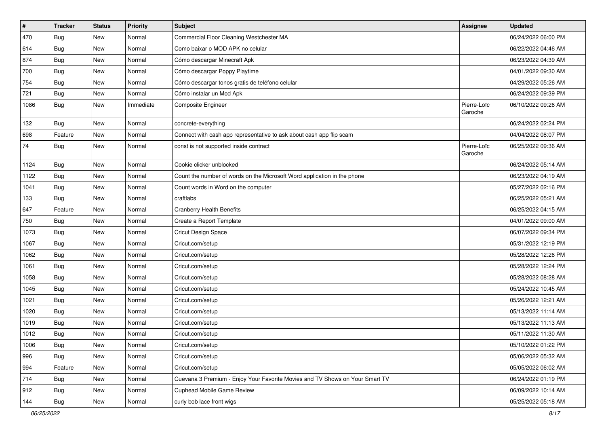| $\sharp$ | <b>Tracker</b> | <b>Status</b> | <b>Priority</b> | <b>Subject</b>                                                               | Assignee               | <b>Updated</b>      |
|----------|----------------|---------------|-----------------|------------------------------------------------------------------------------|------------------------|---------------------|
| 470      | <b>Bug</b>     | New           | Normal          | Commercial Floor Cleaning Westchester MA                                     |                        | 06/24/2022 06:00 PM |
| 614      | Bug            | New           | Normal          | Como baixar o MOD APK no celular                                             |                        | 06/22/2022 04:46 AM |
| 874      | Bug            | New           | Normal          | Cómo descargar Minecraft Apk                                                 |                        | 06/23/2022 04:39 AM |
| 700      | <b>Bug</b>     | New           | Normal          | Cómo descargar Poppy Playtime                                                |                        | 04/01/2022 09:30 AM |
| 754      | Bug            | New           | Normal          | Cómo descargar tonos gratis de teléfono celular                              |                        | 04/29/2022 05:26 AM |
| 721      | <b>Bug</b>     | New           | Normal          | Cómo instalar un Mod Apk                                                     |                        | 06/24/2022 09:39 PM |
| 1086     | Bug            | New           | Immediate       | Composite Engineer                                                           | Pierre-Loïc<br>Garoche | 06/10/2022 09:26 AM |
| 132      | Bug            | New           | Normal          | concrete-everything                                                          |                        | 06/24/2022 02:24 PM |
| 698      | Feature        | New           | Normal          | Connect with cash app representative to ask about cash app flip scam         |                        | 04/04/2022 08:07 PM |
| 74       | Bug            | New           | Normal          | const is not supported inside contract                                       | Pierre-Loïc<br>Garoche | 06/25/2022 09:36 AM |
| 1124     | Bug            | New           | Normal          | Cookie clicker unblocked                                                     |                        | 06/24/2022 05:14 AM |
| 1122     | <b>Bug</b>     | New           | Normal          | Count the number of words on the Microsoft Word application in the phone     |                        | 06/23/2022 04:19 AM |
| 1041     | Bug            | New           | Normal          | Count words in Word on the computer                                          |                        | 05/27/2022 02:16 PM |
| 133      | Bug            | New           | Normal          | craftlabs                                                                    |                        | 06/25/2022 05:21 AM |
| 647      | Feature        | New           | Normal          | <b>Cranberry Health Benefits</b>                                             |                        | 06/25/2022 04:15 AM |
| 750      | Bug            | New           | Normal          | Create a Report Template                                                     |                        | 04/01/2022 09:00 AM |
| 1073     | <b>Bug</b>     | New           | Normal          | Cricut Design Space                                                          |                        | 06/07/2022 09:34 PM |
| 1067     | Bug            | New           | Normal          | Cricut.com/setup                                                             |                        | 05/31/2022 12:19 PM |
| 1062     | Bug            | New           | Normal          | Cricut.com/setup                                                             |                        | 05/28/2022 12:26 PM |
| 1061     | Bug            | New           | Normal          | Cricut.com/setup                                                             |                        | 05/28/2022 12:24 PM |
| 1058     | <b>Bug</b>     | New           | Normal          | Cricut.com/setup                                                             |                        | 05/28/2022 08:28 AM |
| 1045     | Bug            | New           | Normal          | Cricut.com/setup                                                             |                        | 05/24/2022 10:45 AM |
| 1021     | <b>Bug</b>     | New           | Normal          | Cricut.com/setup                                                             |                        | 05/26/2022 12:21 AM |
| 1020     | Bug            | New           | Normal          | Cricut.com/setup                                                             |                        | 05/13/2022 11:14 AM |
| 1019     | <b>Bug</b>     | New           | Normal          | Cricut.com/setup                                                             |                        | 05/13/2022 11:13 AM |
| 1012     | <b>Bug</b>     | New           | Normal          | Cricut.com/setup                                                             |                        | 05/11/2022 11:30 AM |
| 1006     | Bug            | New           | Normal          | Cricut.com/setup                                                             |                        | 05/10/2022 01:22 PM |
| 996      | Bug            | New           | Normal          | Cricut.com/setup                                                             |                        | 05/06/2022 05:32 AM |
| 994      | Feature        | New           | Normal          | Cricut.com/setup                                                             |                        | 05/05/2022 06:02 AM |
| 714      | <b>Bug</b>     | New           | Normal          | Cuevana 3 Premium - Enjoy Your Favorite Movies and TV Shows on Your Smart TV |                        | 06/24/2022 01:19 PM |
| 912      | <b>Bug</b>     | New           | Normal          | Cuphead Mobile Game Review                                                   |                        | 06/09/2022 10:14 AM |
| 144      | <b>Bug</b>     | New           | Normal          | curly bob lace front wigs                                                    |                        | 05/25/2022 05:18 AM |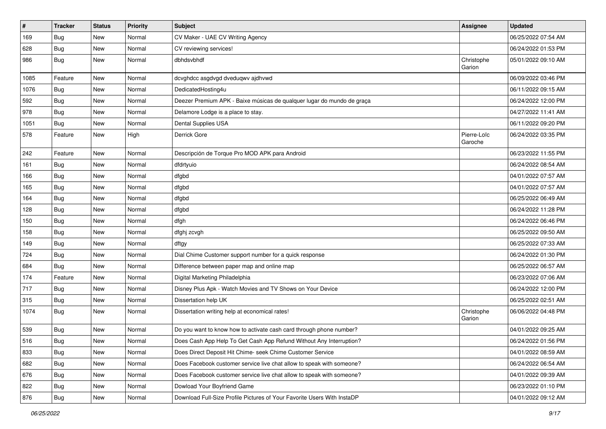| $\vert$ # | <b>Tracker</b> | <b>Status</b> | <b>Priority</b> | <b>Subject</b>                                                          | <b>Assignee</b>        | <b>Updated</b>      |
|-----------|----------------|---------------|-----------------|-------------------------------------------------------------------------|------------------------|---------------------|
| 169       | Bug            | New           | Normal          | CV Maker - UAE CV Writing Agency                                        |                        | 06/25/2022 07:54 AM |
| 628       | Bug            | New           | Normal          | CV reviewing services!                                                  |                        | 06/24/2022 01:53 PM |
| 986       | Bug            | New           | Normal          | dbhdsvbhdf                                                              | Christophe<br>Garion   | 05/01/2022 09:10 AM |
| 1085      | Feature        | New           | Normal          | dcvghdcc asgdvgd dveduqwv ajdhvwd                                       |                        | 06/09/2022 03:46 PM |
| 1076      | Bug            | New           | Normal          | DedicatedHosting4u                                                      |                        | 06/11/2022 09:15 AM |
| 592       | <b>Bug</b>     | New           | Normal          | Deezer Premium APK - Baixe músicas de qualquer lugar do mundo de graça  |                        | 06/24/2022 12:00 PM |
| 978       | <b>Bug</b>     | New           | Normal          | Delamore Lodge is a place to stay.                                      |                        | 04/27/2022 11:41 AM |
| 1051      | Bug            | New           | Normal          | Dental Supplies USA                                                     |                        | 06/11/2022 09:20 PM |
| 578       | Feature        | New           | High            | Derrick Gore                                                            | Pierre-Loïc<br>Garoche | 06/24/2022 03:35 PM |
| 242       | Feature        | New           | Normal          | Descripción de Torque Pro MOD APK para Android                          |                        | 06/23/2022 11:55 PM |
| 161       | Bug            | New           | Normal          | dfdrtyuio                                                               |                        | 06/24/2022 08:54 AM |
| 166       | <b>Bug</b>     | New           | Normal          | dfgbd                                                                   |                        | 04/01/2022 07:57 AM |
| 165       | Bug            | New           | Normal          | dfgbd                                                                   |                        | 04/01/2022 07:57 AM |
| 164       | <b>Bug</b>     | New           | Normal          | dfgbd                                                                   |                        | 06/25/2022 06:49 AM |
| 128       | Bug            | New           | Normal          | dfgbd                                                                   |                        | 06/24/2022 11:28 PM |
| 150       | Bug            | New           | Normal          | dfgh                                                                    |                        | 06/24/2022 06:46 PM |
| 158       | <b>Bug</b>     | New           | Normal          | dfghj zcvgh                                                             |                        | 06/25/2022 09:50 AM |
| 149       | Bug            | New           | Normal          | dftgy                                                                   |                        | 06/25/2022 07:33 AM |
| 724       | <b>Bug</b>     | New           | Normal          | Dial Chime Customer support number for a quick response                 |                        | 06/24/2022 01:30 PM |
| 684       | <b>Bug</b>     | New           | Normal          | Difference between paper map and online map                             |                        | 06/25/2022 06:57 AM |
| 174       | Feature        | New           | Normal          | Digital Marketing Philadelphia                                          |                        | 06/23/2022 07:06 AM |
| 717       | Bug            | New           | Normal          | Disney Plus Apk - Watch Movies and TV Shows on Your Device              |                        | 06/24/2022 12:00 PM |
| 315       | <b>Bug</b>     | New           | Normal          | Dissertation help UK                                                    |                        | 06/25/2022 02:51 AM |
| 1074      | Bug            | New           | Normal          | Dissertation writing help at economical rates!                          | Christophe<br>Garion   | 06/06/2022 04:48 PM |
| 539       | <b>Bug</b>     | New           | Normal          | Do you want to know how to activate cash card through phone number?     |                        | 04/01/2022 09:25 AM |
| 516       | Bug            | New           | Normal          | Does Cash App Help To Get Cash App Refund Without Any Interruption?     |                        | 06/24/2022 01:56 PM |
| 833       | <b>Bug</b>     | New           | Normal          | Does Direct Deposit Hit Chime- seek Chime Customer Service              |                        | 04/01/2022 08:59 AM |
| 682       | <b>Bug</b>     | New           | Normal          | Does Facebook customer service live chat allow to speak with someone?   |                        | 06/24/2022 06:54 AM |
| 676       | Bug            | New           | Normal          | Does Facebook customer service live chat allow to speak with someone?   |                        | 04/01/2022 09:39 AM |
| 822       | Bug            | New           | Normal          | Dowload Your Boyfriend Game                                             |                        | 06/23/2022 01:10 PM |
| 876       | Bug            | New           | Normal          | Download Full-Size Profile Pictures of Your Favorite Users With InstaDP |                        | 04/01/2022 09:12 AM |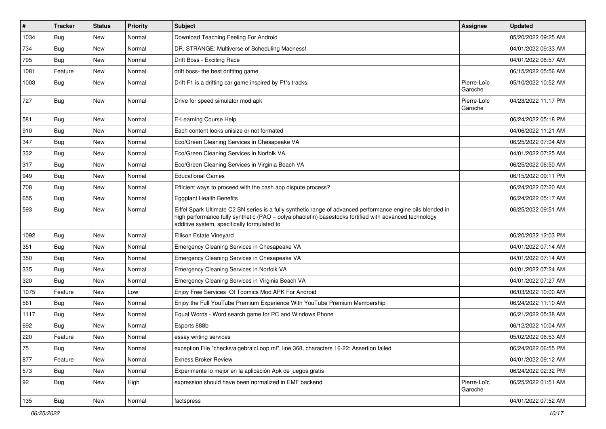| $\vert$ # | <b>Tracker</b> | <b>Status</b> | Priority | <b>Subject</b>                                                                                                                                                                                                                                                        | <b>Assignee</b>        | <b>Updated</b>      |
|-----------|----------------|---------------|----------|-----------------------------------------------------------------------------------------------------------------------------------------------------------------------------------------------------------------------------------------------------------------------|------------------------|---------------------|
| 1034      | <b>Bug</b>     | New           | Normal   | Download Teaching Feeling For Android                                                                                                                                                                                                                                 |                        | 05/20/2022 09:25 AM |
| 734       | Bug            | New           | Normal   | DR. STRANGE: Multiverse of Scheduling Madness!                                                                                                                                                                                                                        |                        | 04/01/2022 09:33 AM |
| 795       | <b>Bug</b>     | New           | Normal   | Drift Boss - Exciting Race                                                                                                                                                                                                                                            |                        | 04/01/2022 08:57 AM |
| 1081      | Feature        | New           | Normal   | drift boss- the best driftitng game                                                                                                                                                                                                                                   |                        | 06/15/2022 05:56 AM |
| 1003      | Bug            | <b>New</b>    | Normal   | Drift F1 is a drifting car game inspired by F1's tracks.                                                                                                                                                                                                              | Pierre-Loïc<br>Garoche | 05/10/2022 10:52 AM |
| 727       | <b>Bug</b>     | <b>New</b>    | Normal   | Drive for speed simulator mod apk                                                                                                                                                                                                                                     | Pierre-Loïc<br>Garoche | 04/23/2022 11:17 PM |
| 581       | <b>Bug</b>     | New           | Normal   | E-Learning Course Help                                                                                                                                                                                                                                                |                        | 06/24/2022 05:18 PM |
| 910       | Bug            | New           | Normal   | Each content looks unisize or not formated                                                                                                                                                                                                                            |                        | 04/06/2022 11:21 AM |
| 347       | <b>Bug</b>     | New           | Normal   | Eco/Green Cleaning Services in Chesapeake VA                                                                                                                                                                                                                          |                        | 06/25/2022 07:04 AM |
| 332       | Bug            | New           | Normal   | Eco/Green Cleaning Services in Norfolk VA                                                                                                                                                                                                                             |                        | 04/01/2022 07:25 AM |
| 317       | Bug            | <b>New</b>    | Normal   | Eco/Green Cleaning Services in Virginia Beach VA                                                                                                                                                                                                                      |                        | 06/25/2022 06:50 AM |
| 949       | Bug            | New           | Normal   | <b>Educational Games</b>                                                                                                                                                                                                                                              |                        | 06/15/2022 09:11 PM |
| 708       | Bug            | <b>New</b>    | Normal   | Efficient ways to proceed with the cash app dispute process?                                                                                                                                                                                                          |                        | 06/24/2022 07:20 AM |
| 655       | Bug            | New           | Normal   | <b>Eggplant Health Benefits</b>                                                                                                                                                                                                                                       |                        | 06/24/2022 05:17 AM |
| 593       | <b>Bug</b>     | New           | Normal   | Eiffel Spark Ultimate C2 SN series is a fully synthetic range of advanced performance engine oils blended in<br>high performance fully synthetic (PAO - polyalphaolefin) basestocks fortified with advanced technology<br>additive system, specifically formulated to |                        | 06/25/2022 09:51 AM |
| 1092      | Bug            | New           | Normal   | Ellison Estate Vineyard                                                                                                                                                                                                                                               |                        | 06/20/2022 12:03 PM |
| 351       | Bug            | <b>New</b>    | Normal   | Emergency Cleaning Services in Chesapeake VA                                                                                                                                                                                                                          |                        | 04/01/2022 07:14 AM |
| 350       | Bug            | New           | Normal   | Emergency Cleaning Services in Chesapeake VA                                                                                                                                                                                                                          |                        | 04/01/2022 07:14 AM |
| 335       | Bug            | <b>New</b>    | Normal   | Emergency Cleaning Services in Norfolk VA                                                                                                                                                                                                                             |                        | 04/01/2022 07:24 AM |
| 320       | Bug            | New           | Normal   | Emergency Cleaning Services in Virginia Beach VA                                                                                                                                                                                                                      |                        | 04/01/2022 07:27 AM |
| 1075      | Feature        | <b>New</b>    | Low      | Enjoy Free Services Of Toomics Mod APK For Android                                                                                                                                                                                                                    |                        | 06/03/2022 10:00 AM |
| 561       | Bug            | New           | Normal   | Enjoy the Full YouTube Premium Experience With YouTube Premium Membership                                                                                                                                                                                             |                        | 06/24/2022 11:10 AM |
| 1117      | <b>Bug</b>     | New           | Normal   | Equal Words - Word search game for PC and Windows Phone                                                                                                                                                                                                               |                        | 06/21/2022 05:38 AM |
| 692       | Bug            | New           | Normal   | Esports 888b                                                                                                                                                                                                                                                          |                        | 06/12/2022 10:04 AM |
| 220       | Feature        | New           | Normal   | essay writing services                                                                                                                                                                                                                                                |                        | 05/02/2022 06:53 AM |
| 75        | <b>Bug</b>     | New           | Normal   | exception File "checks/algebraicLoop.ml", line 368, characters 16-22: Assertion failed                                                                                                                                                                                |                        | 06/24/2022 06:55 PM |
| 877       | Feature        | New           | Normal   | <b>Exness Broker Review</b>                                                                                                                                                                                                                                           |                        | 04/01/2022 09:12 AM |
| 573       | <b>Bug</b>     | New           | Normal   | Experimente lo mejor en la aplicación Apk de juegos gratis                                                                                                                                                                                                            |                        | 06/24/2022 02:32 PM |
| 92        | <b>Bug</b>     | New           | High     | expression should have been normalized in EMF backend                                                                                                                                                                                                                 | Pierre-Loïc<br>Garoche | 06/25/2022 01:51 AM |
| 135       | <b>Bug</b>     | New           | Normal   | factspress                                                                                                                                                                                                                                                            |                        | 04/01/2022 07:52 AM |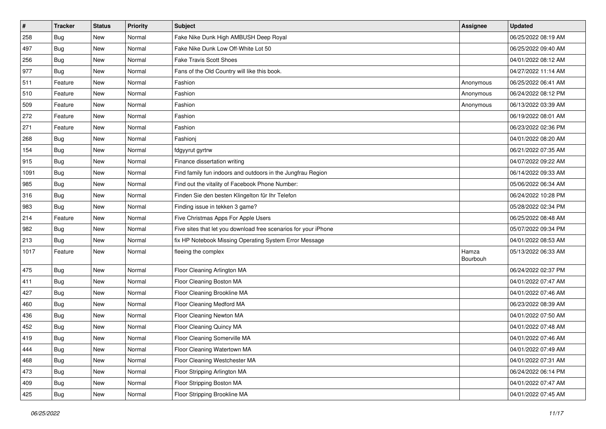| $\sharp$ | <b>Tracker</b> | <b>Status</b> | <b>Priority</b> | <b>Subject</b>                                                  | Assignee          | <b>Updated</b>      |
|----------|----------------|---------------|-----------------|-----------------------------------------------------------------|-------------------|---------------------|
| 258      | <b>Bug</b>     | New           | Normal          | Fake Nike Dunk High AMBUSH Deep Royal                           |                   | 06/25/2022 08:19 AM |
| 497      | <b>Bug</b>     | New           | Normal          | Fake Nike Dunk Low Off-White Lot 50                             |                   | 06/25/2022 09:40 AM |
| 256      | Bug            | New           | Normal          | <b>Fake Travis Scott Shoes</b>                                  |                   | 04/01/2022 08:12 AM |
| 977      | <b>Bug</b>     | New           | Normal          | Fans of the Old Country will like this book.                    |                   | 04/27/2022 11:14 AM |
| 511      | Feature        | New           | Normal          | Fashion                                                         | Anonymous         | 06/25/2022 06:41 AM |
| 510      | Feature        | New           | Normal          | Fashion                                                         | Anonymous         | 06/24/2022 08:12 PM |
| 509      | Feature        | New           | Normal          | Fashion                                                         | Anonymous         | 06/13/2022 03:39 AM |
| 272      | Feature        | New           | Normal          | Fashion                                                         |                   | 06/19/2022 08:01 AM |
| 271      | Feature        | New           | Normal          | Fashion                                                         |                   | 06/23/2022 02:36 PM |
| 268      | Bug            | New           | Normal          | Fashionj                                                        |                   | 04/01/2022 08:20 AM |
| 154      | <b>Bug</b>     | New           | Normal          | fdgyyrut gyrtrw                                                 |                   | 06/21/2022 07:35 AM |
| 915      | Bug            | New           | Normal          | Finance dissertation writing                                    |                   | 04/07/2022 09:22 AM |
| 1091     | Bug            | New           | Normal          | Find family fun indoors and outdoors in the Jungfrau Region     |                   | 06/14/2022 09:33 AM |
| 985      | Bug            | New           | Normal          | Find out the vitality of Facebook Phone Number:                 |                   | 05/06/2022 06:34 AM |
| 316      | Bug            | New           | Normal          | Finden Sie den besten Klingelton für Ihr Telefon                |                   | 06/24/2022 10:28 PM |
| 983      | Bug            | New           | Normal          | Finding issue in tekken 3 game?                                 |                   | 05/28/2022 02:34 PM |
| 214      | Feature        | New           | Normal          | Five Christmas Apps For Apple Users                             |                   | 06/25/2022 08:48 AM |
| 982      | Bug            | <b>New</b>    | Normal          | Five sites that let you download free scenarios for your iPhone |                   | 05/07/2022 09:34 PM |
| 213      | Bug            | New           | Normal          | fix HP Notebook Missing Operating System Error Message          |                   | 04/01/2022 08:53 AM |
| 1017     | Feature        | New           | Normal          | fleeing the complex                                             | Hamza<br>Bourbouh | 05/13/2022 06:33 AM |
| 475      | Bug            | New           | Normal          | Floor Cleaning Arlington MA                                     |                   | 06/24/2022 02:37 PM |
| 411      | Bug            | New           | Normal          | Floor Cleaning Boston MA                                        |                   | 04/01/2022 07:47 AM |
| 427      | Bug            | New           | Normal          | Floor Cleaning Brookline MA                                     |                   | 04/01/2022 07:46 AM |
| 460      | Bug            | New           | Normal          | Floor Cleaning Medford MA                                       |                   | 06/23/2022 08:39 AM |
| 436      | Bug            | New           | Normal          | Floor Cleaning Newton MA                                        |                   | 04/01/2022 07:50 AM |
| 452      | Bug            | New           | Normal          | Floor Cleaning Quincy MA                                        |                   | 04/01/2022 07:48 AM |
| 419      | <b>Bug</b>     | New           | Normal          | Floor Cleaning Somerville MA                                    |                   | 04/01/2022 07:46 AM |
| 444      | Bug            | New           | Normal          | Floor Cleaning Watertown MA                                     |                   | 04/01/2022 07:49 AM |
| 468      | <b>Bug</b>     | New           | Normal          | Floor Cleaning Westchester MA                                   |                   | 04/01/2022 07:31 AM |
| 473      | <b>Bug</b>     | New           | Normal          | Floor Stripping Arlington MA                                    |                   | 06/24/2022 06:14 PM |
| 409      | <b>Bug</b>     | New           | Normal          | Floor Stripping Boston MA                                       |                   | 04/01/2022 07:47 AM |
| 425      | <b>Bug</b>     | New           | Normal          | Floor Stripping Brookline MA                                    |                   | 04/01/2022 07:45 AM |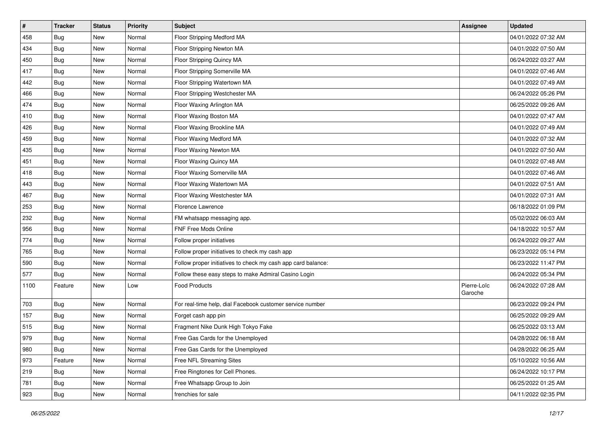| $\vert$ # | <b>Tracker</b> | <b>Status</b> | <b>Priority</b> | <b>Subject</b>                                               | Assignee               | <b>Updated</b>      |
|-----------|----------------|---------------|-----------------|--------------------------------------------------------------|------------------------|---------------------|
| 458       | <b>Bug</b>     | New           | Normal          | Floor Stripping Medford MA                                   |                        | 04/01/2022 07:32 AM |
| 434       | <b>Bug</b>     | New           | Normal          | Floor Stripping Newton MA                                    |                        | 04/01/2022 07:50 AM |
| 450       | Bug            | New           | Normal          | Floor Stripping Quincy MA                                    |                        | 06/24/2022 03:27 AM |
| 417       | <b>Bug</b>     | New           | Normal          | Floor Stripping Somerville MA                                |                        | 04/01/2022 07:46 AM |
| 442       | Bug            | New           | Normal          | Floor Stripping Watertown MA                                 |                        | 04/01/2022 07:49 AM |
| 466       | <b>Bug</b>     | New           | Normal          | Floor Stripping Westchester MA                               |                        | 06/24/2022 05:26 PM |
| 474       | <b>Bug</b>     | New           | Normal          | Floor Waxing Arlington MA                                    |                        | 06/25/2022 09:26 AM |
| 410       | <b>Bug</b>     | New           | Normal          | Floor Waxing Boston MA                                       |                        | 04/01/2022 07:47 AM |
| 426       | <b>Bug</b>     | New           | Normal          | Floor Waxing Brookline MA                                    |                        | 04/01/2022 07:49 AM |
| 459       | Bug            | New           | Normal          | Floor Waxing Medford MA                                      |                        | 04/01/2022 07:32 AM |
| 435       | Bug            | New           | Normal          | Floor Waxing Newton MA                                       |                        | 04/01/2022 07:50 AM |
| 451       | <b>Bug</b>     | New           | Normal          | Floor Waxing Quincy MA                                       |                        | 04/01/2022 07:48 AM |
| 418       | Bug            | New           | Normal          | Floor Waxing Somerville MA                                   |                        | 04/01/2022 07:46 AM |
| 443       | <b>Bug</b>     | New           | Normal          | Floor Waxing Watertown MA                                    |                        | 04/01/2022 07:51 AM |
| 467       | Bug            | New           | Normal          | Floor Waxing Westchester MA                                  |                        | 04/01/2022 07:31 AM |
| 253       | Bug            | New           | Normal          | Florence Lawrence                                            |                        | 06/18/2022 01:09 PM |
| 232       | <b>Bug</b>     | New           | Normal          | FM whatsapp messaging app.                                   |                        | 05/02/2022 06:03 AM |
| 956       | Bug            | New           | Normal          | FNF Free Mods Online                                         |                        | 04/18/2022 10:57 AM |
| 774       | Bug            | New           | Normal          | Follow proper initiatives                                    |                        | 06/24/2022 09:27 AM |
| 765       | <b>Bug</b>     | New           | Normal          | Follow proper initiatives to check my cash app               |                        | 06/23/2022 05:14 PM |
| 590       | <b>Bug</b>     | New           | Normal          | Follow proper initiatives to check my cash app card balance: |                        | 06/23/2022 11:47 PM |
| 577       | <b>Bug</b>     | New           | Normal          | Follow these easy steps to make Admiral Casino Login         |                        | 06/24/2022 05:34 PM |
| 1100      | Feature        | New           | Low             | <b>Food Products</b>                                         | Pierre-Loïc<br>Garoche | 06/24/2022 07:28 AM |
| 703       | <b>Bug</b>     | New           | Normal          | For real-time help, dial Facebook customer service number    |                        | 06/23/2022 09:24 PM |
| 157       | <b>Bug</b>     | New           | Normal          | Forget cash app pin                                          |                        | 06/25/2022 09:29 AM |
| 515       | Bug            | New           | Normal          | Fragment Nike Dunk High Tokyo Fake                           |                        | 06/25/2022 03:13 AM |
| 979       | <b>Bug</b>     | New           | Normal          | Free Gas Cards for the Unemployed                            |                        | 04/28/2022 06:18 AM |
| 980       | Bug            | New           | Normal          | Free Gas Cards for the Unemployed                            |                        | 04/28/2022 06:25 AM |
| 973       | Feature        | New           | Normal          | Free NFL Streaming Sites                                     |                        | 05/10/2022 10:56 AM |
| 219       | <b>Bug</b>     | New           | Normal          | Free Ringtones for Cell Phones.                              |                        | 06/24/2022 10:17 PM |
| 781       | <b>Bug</b>     | New           | Normal          | Free Whatsapp Group to Join                                  |                        | 06/25/2022 01:25 AM |
| 923       | <b>Bug</b>     | New           | Normal          | frenchies for sale                                           |                        | 04/11/2022 02:35 PM |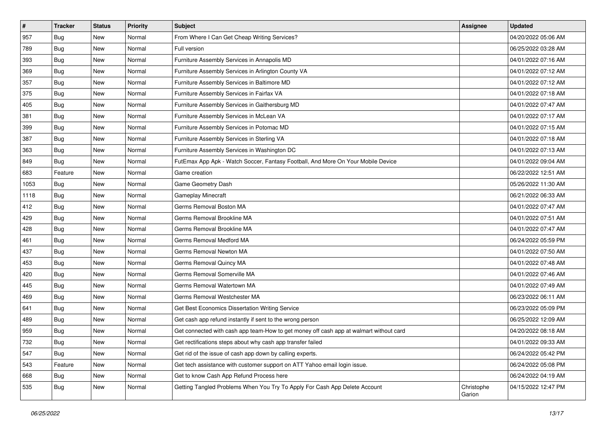| #    | <b>Tracker</b> | <b>Status</b> | Priority | Subject                                                                                | <b>Assignee</b>      | <b>Updated</b>      |
|------|----------------|---------------|----------|----------------------------------------------------------------------------------------|----------------------|---------------------|
| 957  | Bug            | New           | Normal   | From Where I Can Get Cheap Writing Services?                                           |                      | 04/20/2022 05:06 AM |
| 789  | <b>Bug</b>     | New           | Normal   | Full version                                                                           |                      | 06/25/2022 03:28 AM |
| 393  | Bug            | New           | Normal   | Furniture Assembly Services in Annapolis MD                                            |                      | 04/01/2022 07:16 AM |
| 369  | Bug            | New           | Normal   | Furniture Assembly Services in Arlington County VA                                     |                      | 04/01/2022 07:12 AM |
| 357  | <b>Bug</b>     | New           | Normal   | Furniture Assembly Services in Baltimore MD                                            |                      | 04/01/2022 07:12 AM |
| 375  | Bug            | New           | Normal   | Furniture Assembly Services in Fairfax VA                                              |                      | 04/01/2022 07:18 AM |
| 405  | Bug            | New           | Normal   | Furniture Assembly Services in Gaithersburg MD                                         |                      | 04/01/2022 07:47 AM |
| 381  | Bug            | New           | Normal   | Furniture Assembly Services in McLean VA                                               |                      | 04/01/2022 07:17 AM |
| 399  | Bug            | New           | Normal   | Furniture Assembly Services in Potomac MD                                              |                      | 04/01/2022 07:15 AM |
| 387  | Bug            | New           | Normal   | Furniture Assembly Services in Sterling VA                                             |                      | 04/01/2022 07:18 AM |
| 363  | <b>Bug</b>     | New           | Normal   | Furniture Assembly Services in Washington DC                                           |                      | 04/01/2022 07:13 AM |
| 849  | Bug            | New           | Normal   | FutEmax App Apk - Watch Soccer, Fantasy Football, And More On Your Mobile Device       |                      | 04/01/2022 09:04 AM |
| 683  | Feature        | New           | Normal   | Game creation                                                                          |                      | 06/22/2022 12:51 AM |
| 1053 | Bug            | New           | Normal   | Game Geometry Dash                                                                     |                      | 05/26/2022 11:30 AM |
| 1118 | <b>Bug</b>     | New           | Normal   | Gameplay Minecraft                                                                     |                      | 06/21/2022 06:33 AM |
| 412  | Bug            | New           | Normal   | Germs Removal Boston MA                                                                |                      | 04/01/2022 07:47 AM |
| 429  | <b>Bug</b>     | New           | Normal   | Germs Removal Brookline MA                                                             |                      | 04/01/2022 07:51 AM |
| 428  | Bug            | New           | Normal   | Germs Removal Brookline MA                                                             |                      | 04/01/2022 07:47 AM |
| 461  | Bug            | New           | Normal   | Germs Removal Medford MA                                                               |                      | 06/24/2022 05:59 PM |
| 437  | <b>Bug</b>     | New           | Normal   | Germs Removal Newton MA                                                                |                      | 04/01/2022 07:50 AM |
| 453  | Bug            | New           | Normal   | Germs Removal Quincy MA                                                                |                      | 04/01/2022 07:48 AM |
| 420  | Bug            | New           | Normal   | Germs Removal Somerville MA                                                            |                      | 04/01/2022 07:46 AM |
| 445  | Bug            | New           | Normal   | Germs Removal Watertown MA                                                             |                      | 04/01/2022 07:49 AM |
| 469  | <b>Bug</b>     | New           | Normal   | Germs Removal Westchester MA                                                           |                      | 06/23/2022 06:11 AM |
| 641  | Bug            | New           | Normal   | Get Best Economics Dissertation Writing Service                                        |                      | 06/23/2022 05:09 PM |
| 489  | Bug            | New           | Normal   | Get cash app refund instantly if sent to the wrong person                              |                      | 06/25/2022 12:09 AM |
| 959  | <b>Bug</b>     | New           | Normal   | Get connected with cash app team-How to get money off cash app at walmart without card |                      | 04/20/2022 08:18 AM |
| 732  | <b>Bug</b>     | New           | Normal   | Get rectifications steps about why cash app transfer failed                            |                      | 04/01/2022 09:33 AM |
| 547  | Bug            | New           | Normal   | Get rid of the issue of cash app down by calling experts.                              |                      | 06/24/2022 05:42 PM |
| 543  | Feature        | New           | Normal   | Get tech assistance with customer support on ATT Yahoo email login issue.              |                      | 06/24/2022 05:08 PM |
| 668  | <b>Bug</b>     | New           | Normal   | Get to know Cash App Refund Process here                                               |                      | 06/24/2022 04:19 AM |
| 535  | <b>Bug</b>     | New           | Normal   | Getting Tangled Problems When You Try To Apply For Cash App Delete Account             | Christophe<br>Garion | 04/15/2022 12:47 PM |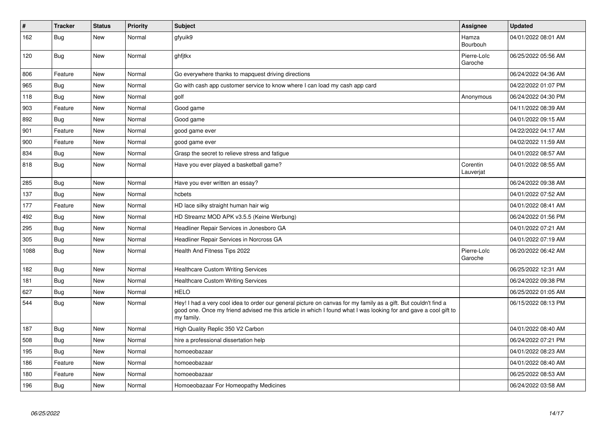| $\vert$ # | <b>Tracker</b> | <b>Status</b> | <b>Priority</b> | <b>Subject</b>                                                                                                                                                                                                                                    | Assignee               | <b>Updated</b>      |
|-----------|----------------|---------------|-----------------|---------------------------------------------------------------------------------------------------------------------------------------------------------------------------------------------------------------------------------------------------|------------------------|---------------------|
| 162       | Bug            | New           | Normal          | gfyuik9                                                                                                                                                                                                                                           | Hamza<br>Bourbouh      | 04/01/2022 08:01 AM |
| 120       | <b>Bug</b>     | New           | Normal          | ghfjtkx                                                                                                                                                                                                                                           | Pierre-Loïc<br>Garoche | 06/25/2022 05:56 AM |
| 806       | Feature        | New           | Normal          | Go everywhere thanks to mapquest driving directions                                                                                                                                                                                               |                        | 06/24/2022 04:36 AM |
| 965       | <b>Bug</b>     | New           | Normal          | Go with cash app customer service to know where I can load my cash app card                                                                                                                                                                       |                        | 04/22/2022 01:07 PM |
| 118       | Bug            | New           | Normal          | golf                                                                                                                                                                                                                                              | Anonymous              | 06/24/2022 04:30 PM |
| 903       | Feature        | <b>New</b>    | Normal          | Good game                                                                                                                                                                                                                                         |                        | 04/11/2022 08:39 AM |
| 892       | Bug            | New           | Normal          | Good game                                                                                                                                                                                                                                         |                        | 04/01/2022 09:15 AM |
| 901       | Feature        | <b>New</b>    | Normal          | good game ever                                                                                                                                                                                                                                    |                        | 04/22/2022 04:17 AM |
| 900       | Feature        | New           | Normal          | good game ever                                                                                                                                                                                                                                    |                        | 04/02/2022 11:59 AM |
| 834       | <b>Bug</b>     | <b>New</b>    | Normal          | Grasp the secret to relieve stress and fatigue                                                                                                                                                                                                    |                        | 04/01/2022 08:57 AM |
| 818       | Bug            | New           | Normal          | Have you ever played a basketball game?                                                                                                                                                                                                           | Corentin<br>Lauverjat  | 04/01/2022 08:55 AM |
| 285       | Bug            | <b>New</b>    | Normal          | Have you ever written an essay?                                                                                                                                                                                                                   |                        | 06/24/2022 09:38 AM |
| 137       | Bug            | New           | Normal          | hcbets                                                                                                                                                                                                                                            |                        | 04/01/2022 07:52 AM |
| 177       | Feature        | New           | Normal          | HD lace silky straight human hair wig                                                                                                                                                                                                             |                        | 04/01/2022 08:41 AM |
| 492       | <b>Bug</b>     | <b>New</b>    | Normal          | HD Streamz MOD APK v3.5.5 (Keine Werbung)                                                                                                                                                                                                         |                        | 06/24/2022 01:56 PM |
| 295       | Bug            | New           | Normal          | Headliner Repair Services in Jonesboro GA                                                                                                                                                                                                         |                        | 04/01/2022 07:21 AM |
| 305       | Bug            | New           | Normal          | Headliner Repair Services in Norcross GA                                                                                                                                                                                                          |                        | 04/01/2022 07:19 AM |
| 1088      | Bug            | New           | Normal          | Health And Fitness Tips 2022                                                                                                                                                                                                                      | Pierre-Loïc<br>Garoche | 06/20/2022 06:42 AM |
| 182       | <b>Bug</b>     | New           | Normal          | <b>Healthcare Custom Writing Services</b>                                                                                                                                                                                                         |                        | 06/25/2022 12:31 AM |
| 181       | Bug            | New           | Normal          | <b>Healthcare Custom Writing Services</b>                                                                                                                                                                                                         |                        | 06/24/2022 09:38 PM |
| 627       | <b>Bug</b>     | New           | Normal          | <b>HELO</b>                                                                                                                                                                                                                                       |                        | 06/25/2022 01:05 AM |
| 544       | Bug            | New           | Normal          | Hey! I had a very cool idea to order our general picture on canvas for my family as a gift. But couldn't find a<br>good one. Once my friend advised me this article in which I found what I was looking for and gave a cool gift to<br>my family. |                        | 06/15/2022 08:13 PM |
| 187       | <b>Bug</b>     | New           | Normal          | High Quality Replic 350 V2 Carbon                                                                                                                                                                                                                 |                        | 04/01/2022 08:40 AM |
| 508       | Bug            | New           | Normal          | hire a professional dissertation help                                                                                                                                                                                                             |                        | 06/24/2022 07:21 PM |
| 195       | <b>Bug</b>     | New           | Normal          | homoeobazaar                                                                                                                                                                                                                                      |                        | 04/01/2022 08:23 AM |
| 186       | Feature        | New           | Normal          | homoeobazaar                                                                                                                                                                                                                                      |                        | 04/01/2022 08:40 AM |
| 180       | Feature        | New           | Normal          | homoeobazaar                                                                                                                                                                                                                                      |                        | 06/25/2022 08:53 AM |
| 196       | <b>Bug</b>     | New           | Normal          | Homoeobazaar For Homeopathy Medicines                                                                                                                                                                                                             |                        | 06/24/2022 03:58 AM |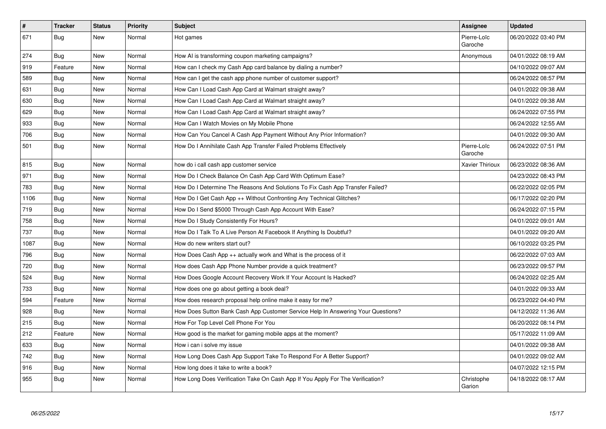| $\vert$ # | <b>Tracker</b> | <b>Status</b> | <b>Priority</b> | <b>Subject</b>                                                                   | Assignee               | <b>Updated</b>      |
|-----------|----------------|---------------|-----------------|----------------------------------------------------------------------------------|------------------------|---------------------|
| 671       | <b>Bug</b>     | New           | Normal          | Hot games                                                                        | Pierre-Loïc<br>Garoche | 06/20/2022 03:40 PM |
| 274       | <b>Bug</b>     | <b>New</b>    | Normal          | How AI is transforming coupon marketing campaigns?                               | Anonymous              | 04/01/2022 08:19 AM |
| 919       | Feature        | New           | Normal          | How can I check my Cash App card balance by dialing a number?                    |                        | 04/10/2022 09:07 AM |
| 589       | <b>Bug</b>     | <b>New</b>    | Normal          | How can I get the cash app phone number of customer support?                     |                        | 06/24/2022 08:57 PM |
| 631       | Bug            | <b>New</b>    | Normal          | How Can I Load Cash App Card at Walmart straight away?                           |                        | 04/01/2022 09:38 AM |
| 630       | <b>Bug</b>     | <b>New</b>    | Normal          | How Can I Load Cash App Card at Walmart straight away?                           |                        | 04/01/2022 09:38 AM |
| 629       | <b>Bug</b>     | <b>New</b>    | Normal          | How Can I Load Cash App Card at Walmart straight away?                           |                        | 06/24/2022 07:55 PM |
| 933       | <b>Bug</b>     | <b>New</b>    | Normal          | How Can I Watch Movies on My Mobile Phone                                        |                        | 06/24/2022 12:55 AM |
| 706       | Bug            | New           | Normal          | How Can You Cancel A Cash App Payment Without Any Prior Information?             |                        | 04/01/2022 09:30 AM |
| 501       | Bug            | <b>New</b>    | Normal          | How Do I Annihilate Cash App Transfer Failed Problems Effectively                | Pierre-Loïc<br>Garoche | 06/24/2022 07:51 PM |
| 815       | Bug            | <b>New</b>    | Normal          | how do i call cash app customer service                                          | <b>Xavier Thirioux</b> | 06/23/2022 08:36 AM |
| 971       | <b>Bug</b>     | <b>New</b>    | Normal          | How Do I Check Balance On Cash App Card With Optimum Ease?                       |                        | 04/23/2022 08:43 PM |
| 783       | <b>Bug</b>     | <b>New</b>    | Normal          | How Do I Determine The Reasons And Solutions To Fix Cash App Transfer Failed?    |                        | 06/22/2022 02:05 PM |
| 1106      | Bug            | <b>New</b>    | Normal          | How Do I Get Cash App ++ Without Confronting Any Technical Glitches?             |                        | 06/17/2022 02:20 PM |
| 719       | <b>Bug</b>     | New           | Normal          | How Do I Send \$5000 Through Cash App Account With Ease?                         |                        | 06/24/2022 07:15 PM |
| 758       | Bug            | New           | Normal          | How Do I Study Consistently For Hours?                                           |                        | 04/01/2022 09:01 AM |
| 737       | <b>Bug</b>     | <b>New</b>    | Normal          | How Do I Talk To A Live Person At Facebook If Anything Is Doubtful?              |                        | 04/01/2022 09:20 AM |
| 1087      | Bug            | New           | Normal          | How do new writers start out?                                                    |                        | 06/10/2022 03:25 PM |
| 796       | Bug            | New           | Normal          | How Does Cash App ++ actually work and What is the process of it                 |                        | 06/22/2022 07:03 AM |
| 720       | Bug            | New           | Normal          | How does Cash App Phone Number provide a quick treatment?                        |                        | 06/23/2022 09:57 PM |
| 524       | <b>Bug</b>     | <b>New</b>    | Normal          | How Does Google Account Recovery Work If Your Account Is Hacked?                 |                        | 06/24/2022 02:25 AM |
| 733       | Bug            | <b>New</b>    | Normal          | How does one go about getting a book deal?                                       |                        | 04/01/2022 09:33 AM |
| 594       | Feature        | New           | Normal          | How does research proposal help online make it easy for me?                      |                        | 06/23/2022 04:40 PM |
| 928       | Bug            | New           | Normal          | How Does Sutton Bank Cash App Customer Service Help In Answering Your Questions? |                        | 04/12/2022 11:36 AM |
| 215       | <b>Bug</b>     | <b>New</b>    | Normal          | How For Top Level Cell Phone For You                                             |                        | 06/20/2022 08:14 PM |
| 212       | Feature        | <b>New</b>    | Normal          | How good is the market for gaming mobile apps at the moment?                     |                        | 05/17/2022 11:09 AM |
| 633       | <b>Bug</b>     | <b>New</b>    | Normal          | How i can i solve my issue                                                       |                        | 04/01/2022 09:38 AM |
| 742       | Bug            | New           | Normal          | How Long Does Cash App Support Take To Respond For A Better Support?             |                        | 04/01/2022 09:02 AM |
| 916       | Bug            | New           | Normal          | How long does it take to write a book?                                           |                        | 04/07/2022 12:15 PM |
| 955       | Bug            | New           | Normal          | How Long Does Verification Take On Cash App If You Apply For The Verification?   | Christophe<br>Garion   | 04/18/2022 08:17 AM |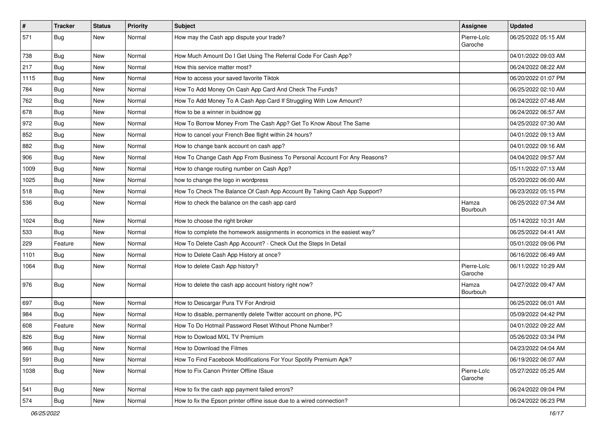| $\vert$ # | Tracker    | <b>Status</b> | <b>Priority</b> | <b>Subject</b>                                                            | <b>Assignee</b>        | <b>Updated</b>      |
|-----------|------------|---------------|-----------------|---------------------------------------------------------------------------|------------------------|---------------------|
| 571       | Bug        | New           | Normal          | How may the Cash app dispute your trade?                                  | Pierre-Loïc<br>Garoche | 06/25/2022 05:15 AM |
| 738       | Bug        | New           | Normal          | How Much Amount Do I Get Using The Referral Code For Cash App?            |                        | 04/01/2022 09:03 AM |
| 217       | <b>Bug</b> | New           | Normal          | How this service matter most?                                             |                        | 06/24/2022 08:22 AM |
| 1115      | Bug        | <b>New</b>    | Normal          | How to access your saved favorite Tiktok                                  |                        | 06/20/2022 01:07 PM |
| 784       | <b>Bug</b> | New           | Normal          | How To Add Money On Cash App Card And Check The Funds?                    |                        | 06/25/2022 02:10 AM |
| 762       | Bug        | <b>New</b>    | Normal          | How To Add Money To A Cash App Card If Struggling With Low Amount?        |                        | 06/24/2022 07:48 AM |
| 678       | Bug        | New           | Normal          | How to be a winner in buidnow gg                                          |                        | 06/24/2022 06:57 AM |
| 972       | <b>Bug</b> | New           | Normal          | How To Borrow Money From The Cash App? Get To Know About The Same         |                        | 04/25/2022 07:30 AM |
| 852       | <b>Bug</b> | <b>New</b>    | Normal          | How to cancel your French Bee flight within 24 hours?                     |                        | 04/01/2022 09:13 AM |
| 882       | Bug        | New           | Normal          | How to change bank account on cash app?                                   |                        | 04/01/2022 09:16 AM |
| 906       | Bug        | New           | Normal          | How To Change Cash App From Business To Personal Account For Any Reasons? |                        | 04/04/2022 09:57 AM |
| 1009      | Bug        | New           | Normal          | How to change routing number on Cash App?                                 |                        | 05/11/2022 07:13 AM |
| 1025      | <b>Bug</b> | <b>New</b>    | Normal          | how to change the logo in wordpress                                       |                        | 05/20/2022 06:00 AM |
| 518       | Bug        | New           | Normal          | How To Check The Balance Of Cash App Account By Taking Cash App Support?  |                        | 06/23/2022 05:15 PM |
| 536       | <b>Bug</b> | New           | Normal          | How to check the balance on the cash app card                             | Hamza<br>Bourbouh      | 06/25/2022 07:34 AM |
| 1024      | Bug        | <b>New</b>    | Normal          | How to choose the right broker                                            |                        | 05/14/2022 10:31 AM |
| 533       | Bug        | New           | Normal          | How to complete the homework assignments in economics in the easiest way? |                        | 06/25/2022 04:41 AM |
| 229       | Feature    | New           | Normal          | How To Delete Cash App Account? - Check Out the Steps In Detail           |                        | 05/01/2022 09:06 PM |
| 1101      | <b>Bug</b> | New           | Normal          | How to Delete Cash App History at once?                                   |                        | 06/16/2022 06:49 AM |
| 1064      | <b>Bug</b> | New           | Normal          | How to delete Cash App history?                                           | Pierre-Loïc<br>Garoche | 06/11/2022 10:29 AM |
| 976       | Bug        | New           | Normal          | How to delete the cash app account history right now?                     | Hamza<br>Bourbouh      | 04/27/2022 09:47 AM |
| 697       | Bug        | <b>New</b>    | Normal          | How to Descargar Pura TV For Android                                      |                        | 06/25/2022 06:01 AM |
| 984       | <b>Bug</b> | New           | Normal          | How to disable, permanently delete Twitter account on phone, PC           |                        | 05/09/2022 04:42 PM |
| 608       | Feature    | New           | Normal          | How To Do Hotmail Password Reset Without Phone Number?                    |                        | 04/01/2022 09:22 AM |
| 826       | <b>Bug</b> | New           | Normal          | How to Dowload MXL TV Premium                                             |                        | 05/26/2022 03:34 PM |
| 966       | <b>Bug</b> | New           | Normal          | How to Download the Filmes                                                |                        | 04/23/2022 04:04 AM |
| 591       | Bug        | New           | Normal          | How To Find Facebook Modifications For Your Spotify Premium Apk?          |                        | 06/19/2022 06:07 AM |
| 1038      | Bug        | New           | Normal          | How to Fix Canon Printer Offline ISsue                                    | Pierre-Loïc<br>Garoche | 05/27/2022 05:25 AM |
| 541       | <b>Bug</b> | New           | Normal          | How to fix the cash app payment failed errors?                            |                        | 06/24/2022 09:04 PM |
| 574       | <b>Bug</b> | New           | Normal          | How to fix the Epson printer offline issue due to a wired connection?     |                        | 06/24/2022 06:23 PM |